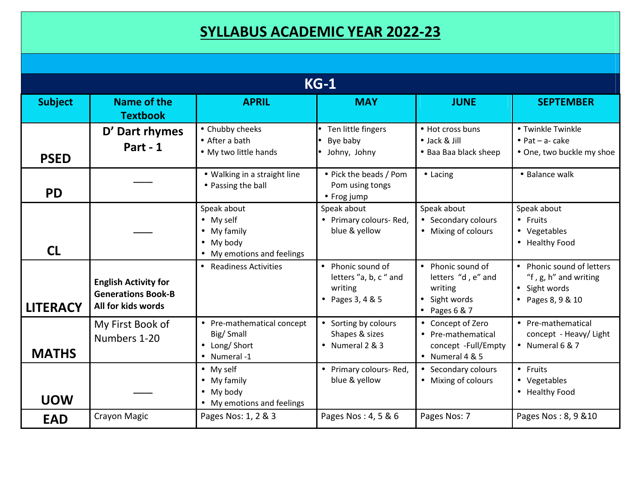## **SYLLABUS ACADEMIC YEAR 2022-23**

| $KG-1$          |                                                                                |                                                                                                            |                                                                                         |                                                                                        |                                                                                          |  |  |  |
|-----------------|--------------------------------------------------------------------------------|------------------------------------------------------------------------------------------------------------|-----------------------------------------------------------------------------------------|----------------------------------------------------------------------------------------|------------------------------------------------------------------------------------------|--|--|--|
| <b>Subject</b>  | Name of the<br><b>Textbook</b>                                                 | <b>APRIL</b>                                                                                               | <b>MAY</b>                                                                              | <b>JUNE</b>                                                                            | <b>SEPTEMBER</b>                                                                         |  |  |  |
| <b>PSED</b>     | D' Dart rhymes<br>Part - 1                                                     | • Chubby cheeks<br>• After a bath<br>• My two little hands                                                 | Ten little fingers<br>Bye baby<br>Johny, Johny                                          | • Hot cross buns<br>• Jack & Jill<br>• Baa Baa black sheep                             | • Twinkle Twinkle<br>$\bullet$ Pat - a- cake<br>• One, two buckle my shoe                |  |  |  |
| <b>PD</b>       |                                                                                | • Walking in a straight line<br>• Passing the ball                                                         | • Pick the beads / Pom<br>Pom using tongs<br>• Frog jump                                | • Lacing                                                                               | • Balance walk                                                                           |  |  |  |
| <b>CL</b>       |                                                                                | Speak about<br>$\bullet$ My self<br>$\bullet$ My family<br>$\bullet$ My body<br>• My emotions and feelings | Speak about<br>• Primary colours-Red,<br>blue & yellow                                  | Speak about<br>• Secondary colours<br>• Mixing of colours                              | Speak about<br>• Fruits<br>• Vegetables<br>• Healthy Food                                |  |  |  |
| <b>LITERACY</b> | <b>English Activity for</b><br><b>Generations Book-B</b><br>All for kids words | • Readiness Activities                                                                                     | Phonic sound of<br>$\bullet$<br>letters "a, b, c " and<br>writing<br>• Pages $3, 4 & 5$ | • Phonic sound of<br>letters "d, e" and<br>writing<br>• Sight words<br>• Pages $6 & 7$ | • Phonic sound of letters<br>"f, g, h" and writing<br>• Sight words<br>• Pages 8, 9 & 10 |  |  |  |
| <b>MATHS</b>    | My First Book of<br>Numbers 1-20                                               | • Pre-mathematical concept<br>Big/Small<br>• Long/Short<br>• Numeral -1                                    | • Sorting by colours<br>Shapes & sizes<br>• Numeral 2 & 3                               | • Concept of Zero<br>• Pre-mathematical<br>concept -Full/Empty<br>• Numeral $4 & 5$    | • Pre-mathematical<br>concept - Heavy/ Light<br>• Numeral $6 & 7$                        |  |  |  |
| <b>UOW</b>      |                                                                                | $\bullet$ My self<br>$\bullet$ My family<br>$\bullet$ My body<br>• My emotions and feelings                | • Primary colours-Red,<br>blue & yellow                                                 | • Secondary colours<br>• Mixing of colours                                             | • Fruits<br>• Vegetables<br>• Healthy Food                                               |  |  |  |
| <b>EAD</b>      | Crayon Magic                                                                   | Pages Nos: 1, 2 & 3                                                                                        | Pages Nos: 4, 5 & 6                                                                     | Pages Nos: 7                                                                           | Pages Nos: 8, 9 & 10                                                                     |  |  |  |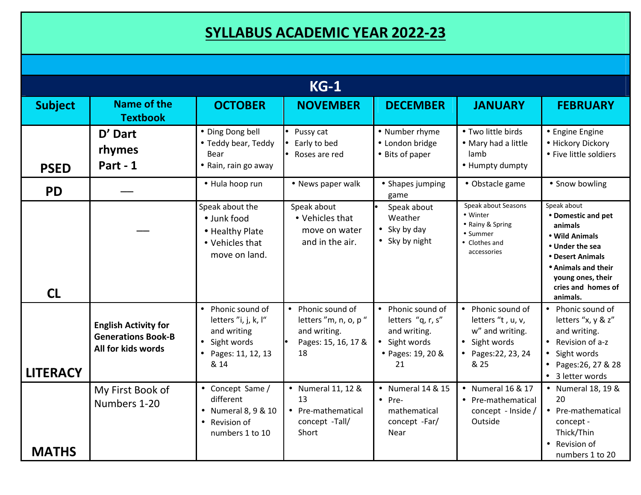## **SYLLABUS ACADEMIC YEAR 2022-23**

| $KG-1$          |                                                                                |                                                                                                    |                                                                                        |                                                                                                    |                                                                                                           |                                                                                                                                                                         |  |
|-----------------|--------------------------------------------------------------------------------|----------------------------------------------------------------------------------------------------|----------------------------------------------------------------------------------------|----------------------------------------------------------------------------------------------------|-----------------------------------------------------------------------------------------------------------|-------------------------------------------------------------------------------------------------------------------------------------------------------------------------|--|
| <b>Subject</b>  | <b>Name of the</b><br><b>Textbook</b>                                          | <b>OCTOBER</b>                                                                                     | <b>NOVEMBER</b>                                                                        | <b>DECEMBER</b>                                                                                    | <b>JANUARY</b>                                                                                            | <b>FEBRUARY</b>                                                                                                                                                         |  |
| <b>PSED</b>     | D' Dart<br>rhymes<br>Part - 1                                                  | • Ding Dong bell<br>• Teddy bear, Teddy<br>Bear<br>• Rain, rain go away                            | $\bullet$ Pussy cat<br>Early to bed<br>Roses are red                                   | • Number rhyme<br>• London bridge<br>• Bits of paper                                               | • Two little birds<br>• Mary had a little<br>lamb<br>• Humpty dumpty                                      | • Engine Engine<br>• Hickory Dickory<br>• Five little soldiers                                                                                                          |  |
| <b>PD</b>       |                                                                                | • Hula hoop run                                                                                    | • News paper walk                                                                      | • Shapes jumping<br>game                                                                           | • Obstacle game                                                                                           | • Snow bowling                                                                                                                                                          |  |
| CL              |                                                                                | Speak about the<br>· Junk food<br>• Healthy Plate<br>• Vehicles that<br>move on land.              | Speak about<br>• Vehicles that<br>move on water<br>and in the air.                     | Speak about<br>Weather<br>$\bullet$ Sky by day<br>• Sky by night                                   | Speak about Seasons<br>• Winter<br>• Rainy & Spring<br>• Summer<br>• Clothes and<br>accessories           | Speak about<br>• Domestic and pet<br>animals<br>• Wild Animals<br>• Under the sea<br>• Desert Animals<br>• Animals and their<br>young ones, their<br>cries and homes of |  |
| <b>LITERACY</b> | <b>English Activity for</b><br><b>Generations Book-B</b><br>All for kids words | Phonic sound of<br>letters "i, j, k, l"<br>and writing<br>Sight words<br>Pages: 11, 12, 13<br>& 14 | • Phonic sound of<br>letters "m, n, o, p"<br>and writing.<br>Pages: 15, 16, 17 &<br>18 | • Phonic sound of<br>letters "q, r, s"<br>and writing.<br>• Sight words<br>• Pages: 19, 20 &<br>21 | • Phonic sound of<br>letters "t, u, v,<br>w" and writing.<br>• Sight words<br>• Pages: 22, 23, 24<br>& 25 | animals.<br>• Phonic sound of<br>letters "x, y & z"<br>and writing.<br>• Revision of $a-z$<br>• Sight words<br>• Pages: 26, 27 & 28<br>• 3 letter words                 |  |
| <b>MATHS</b>    | My First Book of<br>Numbers 1-20                                               | • Concept Same /<br>different<br>• Numeral 8, 9 & 10<br>• Revision of<br>numbers 1 to 10           | • Numeral 11, 12 &<br>13<br>• Pre-mathematical<br>concept -Tall/<br>Short              | • Numeral 14 & 15<br>$\bullet$ Pre-<br>mathematical<br>concept -Far/<br>Near                       | • Numeral 16 & 17<br>• Pre-mathematical<br>concept - Inside /<br>Outside                                  | • Numeral 18, 19 &<br>20<br>• Pre-mathematical<br>concept -<br>Thick/Thin<br>• Revision of<br>numbers 1 to 20                                                           |  |